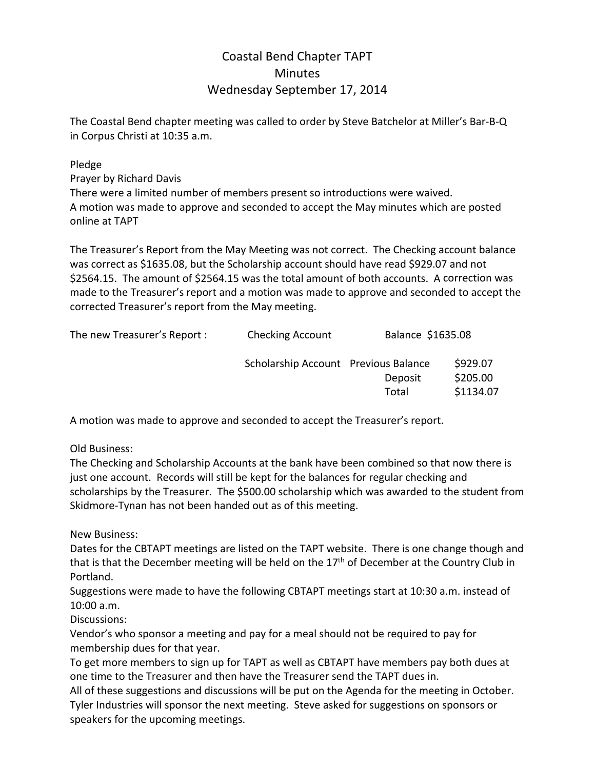## Coastal Bend Chapter TAPT **Minutes** Wednesday September 17, 2014

The Coastal Bend chapter meeting was called to order by Steve Batchelor at Miller's Bar‐B‐Q in Corpus Christi at 10:35 a.m.

Pledge

Prayer by Richard Davis There were a limited number of members present so introductions were waived. A motion was made to approve and seconded to accept the May minutes which are posted online at TAPT

The Treasurer's Report from the May Meeting was not correct. The Checking account balance was correct as \$1635.08, but the Scholarship account should have read \$929.07 and not \$2564.15. The amount of \$2564.15 was the total amount of both accounts. A correction was made to the Treasurer's report and a motion was made to approve and seconded to accept the corrected Treasurer's report from the May meeting.

| The new Treasurer's Report : | <b>Checking Account</b>              | Balance \$1635.08 |                                   |
|------------------------------|--------------------------------------|-------------------|-----------------------------------|
|                              | Scholarship Account Previous Balance | Deposit<br>Total  | \$929.07<br>\$205.00<br>\$1134.07 |

A motion was made to approve and seconded to accept the Treasurer's report.

Old Business:

The Checking and Scholarship Accounts at the bank have been combined so that now there is just one account. Records will still be kept for the balances for regular checking and scholarships by the Treasurer. The \$500.00 scholarship which was awarded to the student from Skidmore‐Tynan has not been handed out as of this meeting.

New Business:

Dates for the CBTAPT meetings are listed on the TAPT website. There is one change though and that is that the December meeting will be held on the  $17<sup>th</sup>$  of December at the Country Club in Portland.

Suggestions were made to have the following CBTAPT meetings start at 10:30 a.m. instead of 10:00 a.m.

Discussions:

Vendor's who sponsor a meeting and pay for a meal should not be required to pay for membership dues for that year.

To get more members to sign up for TAPT as well as CBTAPT have members pay both dues at one time to the Treasurer and then have the Treasurer send the TAPT dues in.

All of these suggestions and discussions will be put on the Agenda for the meeting in October. Tyler Industries will sponsor the next meeting. Steve asked for suggestions on sponsors or speakers for the upcoming meetings.